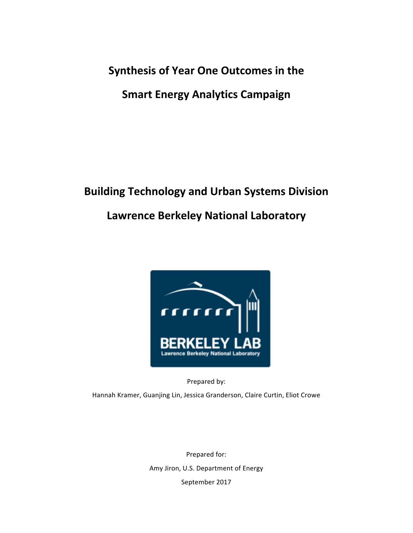**Synthesis of Year One Outcomes in the** 

**Smart Energy Analytics Campaign** 

# **Building Technology and Urban Systems Division Lawrence Berkeley National Laboratory**



Prepared by:

Hannah Kramer, Guanjing Lin, Jessica Granderson, Claire Curtin, Eliot Crowe

Prepared for: Amy Jiron, U.S. Department of Energy September 2017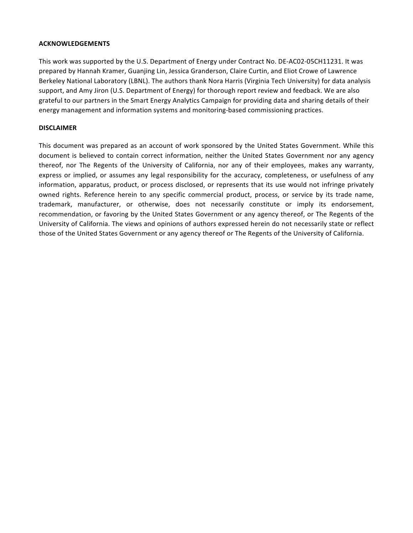#### **ACKNOWLEDGEMENTS**

This work was supported by the U.S. Department of Energy under Contract No. DE-AC02-05CH11231. It was prepared by Hannah Kramer, Guanjing Lin, Jessica Granderson, Claire Curtin, and Eliot Crowe of Lawrence Berkeley National Laboratory (LBNL). The authors thank Nora Harris (Virginia Tech University) for data analysis support, and Amy Jiron (U.S. Department of Energy) for thorough report review and feedback. We are also grateful to our partners in the Smart Energy Analytics Campaign for providing data and sharing details of their energy management and information systems and monitoring-based commissioning practices.

#### **DISCLAIMER**

This document was prepared as an account of work sponsored by the United States Government. While this document is believed to contain correct information, neither the United States Government nor any agency thereof, nor The Regents of the University of California, nor any of their employees, makes any warranty, express or implied, or assumes any legal responsibility for the accuracy, completeness, or usefulness of any information, apparatus, product, or process disclosed, or represents that its use would not infringe privately owned rights. Reference herein to any specific commercial product, process, or service by its trade name, trademark, manufacturer, or otherwise, does not necessarily constitute or imply its endorsement, recommendation, or favoring by the United States Government or any agency thereof, or The Regents of the University of California. The views and opinions of authors expressed herein do not necessarily state or reflect those of the United States Government or any agency thereof or The Regents of the University of California.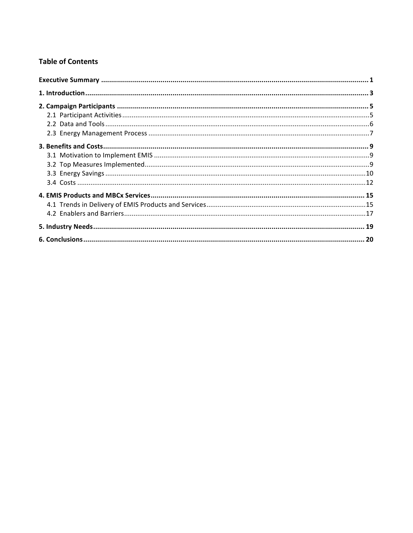# **Table of Contents**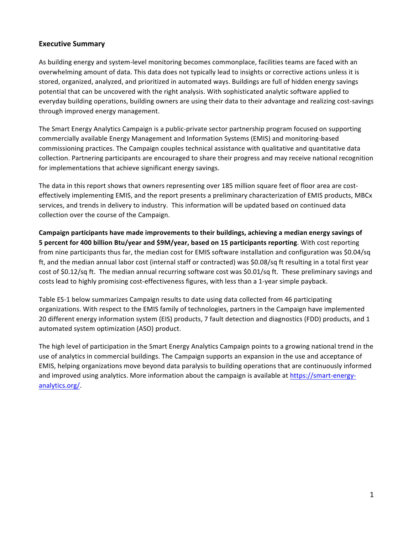## **Executive Summary**

As building energy and system-level monitoring becomes commonplace, facilities teams are faced with an overwhelming amount of data. This data does not typically lead to insights or corrective actions unless it is stored, organized, analyzed, and prioritized in automated ways. Buildings are full of hidden energy savings potential that can be uncovered with the right analysis. With sophisticated analytic software applied to everyday building operations, building owners are using their data to their advantage and realizing cost-savings through improved energy management.

The Smart Energy Analytics Campaign is a public-private sector partnership program focused on supporting commercially available Energy Management and Information Systems (EMIS) and monitoring-based commissioning practices. The Campaign couples technical assistance with qualitative and quantitative data collection. Partnering participants are encouraged to share their progress and may receive national recognition for implementations that achieve significant energy savings.

The data in this report shows that owners representing over 185 million square feet of floor area are costeffectively implementing EMIS, and the report presents a preliminary characterization of EMIS products, MBCx services, and trends in delivery to industry. This information will be updated based on continued data collection over the course of the Campaign.

Campaign participants have made improvements to their buildings, achieving a median energy savings of **5** percent for 400 billion Btu/year and \$9M/year, based on 15 participants reporting. With cost reporting from nine participants thus far, the median cost for EMIS software installation and configuration was \$0.04/sq ft, and the median annual labor cost (internal staff or contracted) was \$0.08/sq ft resulting in a total first year cost of \$0.12/sq ft. The median annual recurring software cost was \$0.01/sq ft. These preliminary savings and costs lead to highly promising cost-effectiveness figures, with less than a 1-year simple payback.

Table ES-1 below summarizes Campaign results to date using data collected from 46 participating organizations. With respect to the EMIS family of technologies, partners in the Campaign have implemented 20 different energy information system (EIS) products, 7 fault detection and diagnostics (FDD) products, and 1 automated system optimization (ASO) product.

The high level of participation in the Smart Energy Analytics Campaign points to a growing national trend in the use of analytics in commercial buildings. The Campaign supports an expansion in the use and acceptance of EMIS, helping organizations move beyond data paralysis to building operations that are continuously informed and improved using analytics. More information about the campaign is available at https://smart-energyanalytics.org/.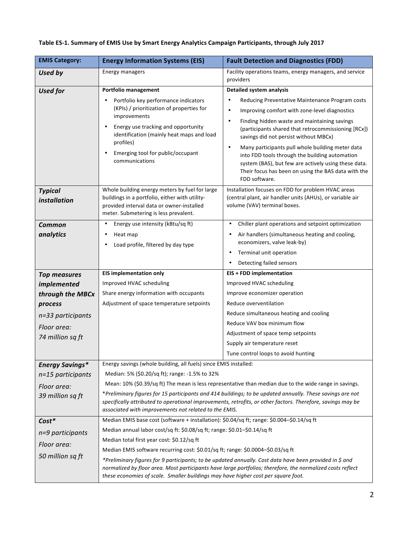| <b>EMIS Category:</b>          | <b>Energy Information Systems (EIS)</b>                                                                                                                                                | <b>Fault Detection and Diagnostics (FDD)</b>                                                                                                                                                                                                    |
|--------------------------------|----------------------------------------------------------------------------------------------------------------------------------------------------------------------------------------|-------------------------------------------------------------------------------------------------------------------------------------------------------------------------------------------------------------------------------------------------|
| Used by                        | Energy managers                                                                                                                                                                        | Facility operations teams, energy managers, and service<br>providers                                                                                                                                                                            |
| <b>Used for</b>                | Portfolio management                                                                                                                                                                   | <b>Detailed system analysis</b>                                                                                                                                                                                                                 |
|                                | Portfolio key performance indicators<br>٠                                                                                                                                              | Reducing Preventative Maintenance Program costs                                                                                                                                                                                                 |
|                                | (KPIs) / prioritization of properties for<br>improvements                                                                                                                              | Improving comfort with zone-level diagnostics<br>$\bullet$                                                                                                                                                                                      |
|                                | Energy use tracking and opportunity<br>$\bullet$<br>identification (mainly heat maps and load<br>profiles)                                                                             | Finding hidden waste and maintaining savings<br>$\bullet$<br>(participants shared that retrocommissioning [RCx])<br>savings did not persist without MBCx)                                                                                       |
|                                | Emerging tool for public/occupant<br>٠<br>communications                                                                                                                               | Many participants pull whole building meter data<br>$\bullet$<br>into FDD tools through the building automation<br>system (BAS), but few are actively using these data.<br>Their focus has been on using the BAS data with the<br>FDD software. |
| <b>Typical</b><br>installation | Whole building energy meters by fuel for large<br>buildings in a portfolio, either with utility-<br>provided interval data or owner-installed<br>meter. Submetering is less prevalent. | Installation focuses on FDD for problem HVAC areas<br>(central plant, air handler units (AHUs), or variable air<br>volume (VAV) terminal boxes.                                                                                                 |
| Common                         | Energy use intensity (kBtu/sq ft)<br>٠                                                                                                                                                 | Chiller plant operations and setpoint optimization<br>٠                                                                                                                                                                                         |
| analytics                      | Heat map<br>٠                                                                                                                                                                          | Air handlers (simultaneous heating and cooling,<br>economizers, valve leak-by)                                                                                                                                                                  |
|                                | Load profile, filtered by day type                                                                                                                                                     | Terminal unit operation                                                                                                                                                                                                                         |
|                                |                                                                                                                                                                                        | Detecting failed sensors                                                                                                                                                                                                                        |
| <b>Top measures</b>            | <b>EIS implementation only</b>                                                                                                                                                         | <b>EIS + FDD implementation</b>                                                                                                                                                                                                                 |
| <i>implemented</i>             | Improved HVAC scheduling                                                                                                                                                               | Improved HVAC scheduling                                                                                                                                                                                                                        |
| through the MBCx               | Share energy information with occupants                                                                                                                                                | Improve economizer operation                                                                                                                                                                                                                    |
| process                        | Adjustment of space temperature setpoints                                                                                                                                              | Reduce overventilation                                                                                                                                                                                                                          |
| n=33 participants              |                                                                                                                                                                                        | Reduce simultaneous heating and cooling                                                                                                                                                                                                         |
| Floor area:                    |                                                                                                                                                                                        | Reduce VAV box minimum flow                                                                                                                                                                                                                     |
| 74 million sq ft               |                                                                                                                                                                                        | Adjustment of space temp setpoints                                                                                                                                                                                                              |
|                                |                                                                                                                                                                                        | Supply air temperature reset                                                                                                                                                                                                                    |
|                                |                                                                                                                                                                                        | Tune control loops to avoid hunting                                                                                                                                                                                                             |
| <b>Energy Savings*</b>         | Energy savings (whole building, all fuels) since EMIS installed:                                                                                                                       |                                                                                                                                                                                                                                                 |
| n=15 participants              | Median: 5% (\$0.20/sq ft); range: -1.5% to 32%                                                                                                                                         |                                                                                                                                                                                                                                                 |
| Floor area:                    |                                                                                                                                                                                        | Mean: 10% (\$0.39/sq ft) The mean is less representative than median due to the wide range in savings.                                                                                                                                          |
| 39 million sq ft               | associated with improvements not related to the EMIS.                                                                                                                                  | *Preliminary figures for 15 participants and 414 buildings; to be updated annually. These savings are not<br>specifically attributed to operational improvements, retrofits, or other factors. Therefore, savings may be                        |
| $Cost*$                        | Median EMIS base cost (software + installation): \$0.04/sq ft; range: \$0.004-\$0.14/sq ft                                                                                             |                                                                                                                                                                                                                                                 |
| n=9 participants               | Median annual labor cost/sq ft: \$0.08/sq ft; range: \$0.01-\$0.14/sq ft                                                                                                               |                                                                                                                                                                                                                                                 |
| Floor area:                    | Median total first year cost: \$0.12/sq ft                                                                                                                                             |                                                                                                                                                                                                                                                 |
| 50 million sq ft               | Median EMIS software recurring cost: \$0.01/sq ft; range: \$0.0004-\$0.03/sq ft                                                                                                        |                                                                                                                                                                                                                                                 |
|                                | these economies of scale. Smaller buildings may have higher cost per square foot.                                                                                                      | *Preliminary figures for 9 participants; to be updated annually. Cost data have been provided in \$ and<br>normalized by floor area. Most participants have large portfolios; therefore, the normalized costs reflect                           |

# Table ES-1. Summary of EMIS Use by Smart Energy Analytics Campaign Participants, through July 2017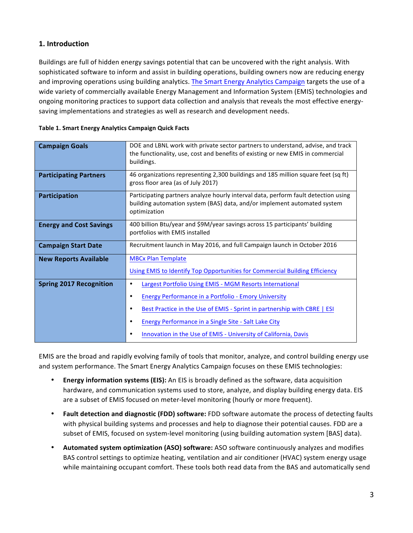# **1. Introduction**

Buildings are full of hidden energy savings potential that can be uncovered with the right analysis. With sophisticated software to inform and assist in building operations, building owners now are reducing energy and improving operations using building analytics. The Smart Energy Analytics Campaign targets the use of a wide variety of commercially available Energy Management and Information System (EMIS) technologies and ongoing monitoring practices to support data collection and analysis that reveals the most effective energysaving implementations and strategies as well as research and development needs.

| <b>Campaign Goals</b>          | DOE and LBNL work with private sector partners to understand, advise, and track<br>the functionality, use, cost and benefits of existing or new EMIS in commercial<br>buildings.                                                                                                                                                                                                |
|--------------------------------|---------------------------------------------------------------------------------------------------------------------------------------------------------------------------------------------------------------------------------------------------------------------------------------------------------------------------------------------------------------------------------|
| <b>Participating Partners</b>  | 46 organizations representing 2,300 buildings and 185 million square feet (sq ft)<br>gross floor area (as of July 2017)                                                                                                                                                                                                                                                         |
| Participation                  | Participating partners analyze hourly interval data, perform fault detection using<br>building automation system (BAS) data, and/or implement automated system<br>optimization                                                                                                                                                                                                  |
| <b>Energy and Cost Savings</b> | 400 billion Btu/year and \$9M/year savings across 15 participants' building<br>portfolios with EMIS installed                                                                                                                                                                                                                                                                   |
| <b>Campaign Start Date</b>     | Recruitment launch in May 2016, and full Campaign launch in October 2016                                                                                                                                                                                                                                                                                                        |
| <b>New Reports Available</b>   | <b>MBCx Plan Template</b><br>Using EMIS to Identify Top Opportunities for Commercial Building Efficiency                                                                                                                                                                                                                                                                        |
| <b>Spring 2017 Recognition</b> | Largest Portfolio Using EMIS - MGM Resorts International<br>٠<br>Energy Performance in a Portfolio - Emory University<br>$\bullet$<br>Best Practice in the Use of EMIS - Sprint in partnership with CBRE   ESI<br>$\bullet$<br><b>Energy Performance in a Single Site - Salt Lake City</b><br>$\bullet$<br>Innovation in the Use of EMIS - University of California, Davis<br>٠ |

| Table 1. Smart Energy Analytics Campaign Quick Facts |  |  |  |
|------------------------------------------------------|--|--|--|
|                                                      |  |  |  |

EMIS are the broad and rapidly evolving family of tools that monitor, analyze, and control building energy use and system performance. The Smart Energy Analytics Campaign focuses on these EMIS technologies:

- **Energy information systems (EIS):** An EIS is broadly defined as the software, data acquisition hardware, and communication systems used to store, analyze, and display building energy data. EIS are a subset of EMIS focused on meter-level monitoring (hourly or more frequent).
- Fault detection and diagnostic (FDD) software: FDD software automate the process of detecting faults with physical building systems and processes and help to diagnose their potential causes. FDD are a subset of EMIS, focused on system-level monitoring (using building automation system [BAS] data).
- Automated system optimization (ASO) software: ASO software continuously analyzes and modifies BAS control settings to optimize heating, ventilation and air conditioner (HVAC) system energy usage while maintaining occupant comfort. These tools both read data from the BAS and automatically send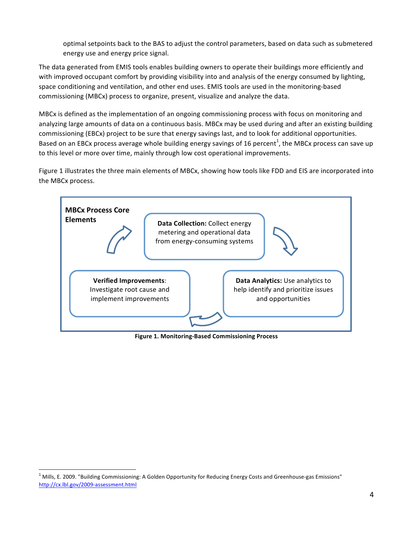optimal setpoints back to the BAS to adjust the control parameters, based on data such as submetered energy use and energy price signal.

The data generated from EMIS tools enables building owners to operate their buildings more efficiently and with improved occupant comfort by providing visibility into and analysis of the energy consumed by lighting, space conditioning and ventilation, and other end uses. EMIS tools are used in the monitoring-based commissioning (MBCx) process to organize, present, visualize and analyze the data.

MBCx is defined as the implementation of an ongoing commissioning process with focus on monitoring and analyzing large amounts of data on a continuous basis. MBCx may be used during and after an existing building commissioning (EBCx) project to be sure that energy savings last, and to look for additional opportunities. Based on an EBCx process average whole building energy savings of 16 percent<sup>1</sup>, the MBCx process can save up to this level or more over time, mainly through low cost operational improvements.

Figure 1 illustrates the three main elements of MBCx, showing how tools like FDD and EIS are incorporated into the MBCx process.



**Figure 1. Monitoring-Based Commissioning Process**

 $1$  Mills, E. 2009. "Building Commissioning: A Golden Opportunity for Reducing Energy Costs and Greenhouse-gas Emissions" <http://cx.lbl.gov/2009-assessment.html>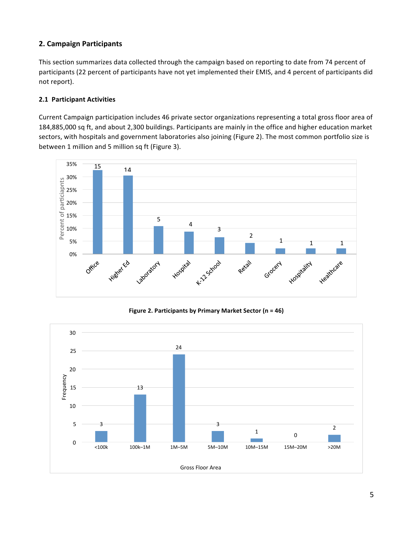# **2. Campaign Participants**

This section summarizes data collected through the campaign based on reporting to date from 74 percent of participants (22 percent of participants have not yet implemented their EMIS, and 4 percent of participants did not report).

## **2.1 Participant Activities**

Current Campaign participation includes 46 private sector organizations representing a total gross floor area of 184,885,000 sq ft, and about 2,300 buildings. Participants are mainly in the office and higher education market sectors, with hospitals and government laboratories also joining (Figure 2). The most common portfolio size is between 1 million and 5 million sq ft (Figure 3).



**Figure 2. Participants by Primary Market Sector (n = 46)**

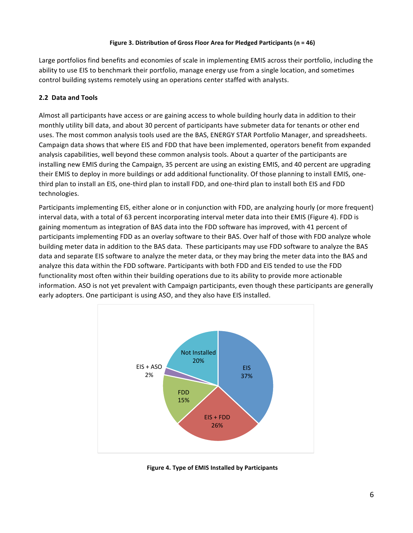#### **Figure 3. Distribution of Gross Floor Area for Pledged Participants (n = 46)**

Large portfolios find benefits and economies of scale in implementing EMIS across their portfolio, including the ability to use EIS to benchmark their portfolio, manage energy use from a single location, and sometimes control building systems remotely using an operations center staffed with analysts.

## **2.2 Data and Tools**

Almost all participants have access or are gaining access to whole building hourly data in addition to their monthly utility bill data, and about 30 percent of participants have submeter data for tenants or other end uses. The most common analysis tools used are the BAS, ENERGY STAR Portfolio Manager, and spreadsheets. Campaign data shows that where EIS and FDD that have been implemented, operators benefit from expanded analysis capabilities, well beyond these common analysis tools. About a quarter of the participants are installing new EMIS during the Campaign, 35 percent are using an existing EMIS, and 40 percent are upgrading their EMIS to deploy in more buildings or add additional functionality. Of those planning to install EMIS, onethird plan to install an EIS, one-third plan to install FDD, and one-third plan to install both EIS and FDD technologies.

Participants implementing EIS, either alone or in conjunction with FDD, are analyzing hourly (or more frequent) interval data, with a total of 63 percent incorporating interval meter data into their EMIS (Figure 4). FDD is gaining momentum as integration of BAS data into the FDD software has improved, with 41 percent of participants implementing FDD as an overlay software to their BAS. Over half of those with FDD analyze whole building meter data in addition to the BAS data. These participants may use FDD software to analyze the BAS data and separate EIS software to analyze the meter data, or they may bring the meter data into the BAS and analyze this data within the FDD software. Participants with both FDD and EIS tended to use the FDD functionality most often within their building operations due to its ability to provide more actionable information. ASO is not yet prevalent with Campaign participants, even though these participants are generally early adopters. One participant is using ASO, and they also have EIS installed.



**Figure 4. Type of EMIS Installed by Participants**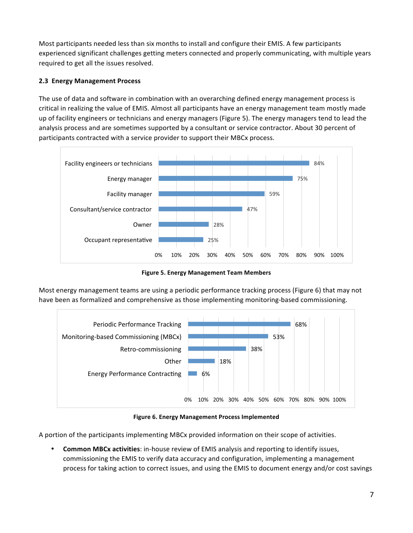Most participants needed less than six months to install and configure their EMIS. A few participants experienced significant challenges getting meters connected and properly communicating, with multiple years required to get all the issues resolved.

# **2.3 Energy Management Process**

The use of data and software in combination with an overarching defined energy management process is critical in realizing the value of EMIS. Almost all participants have an energy management team mostly made up of facility engineers or technicians and energy managers (Figure 5). The energy managers tend to lead the analysis process and are sometimes supported by a consultant or service contractor. About 30 percent of participants contracted with a service provider to support their MBCx process.



**Figure 5. Energy Management Team Members** 

Most energy management teams are using a periodic performance tracking process (Figure 6) that may not have been as formalized and comprehensive as those implementing monitoring-based commissioning.



**Figure 6. Energy Management Process Implemented** 

A portion of the participants implementing MBCx provided information on their scope of activities.

**Common MBCx activities:** in-house review of EMIS analysis and reporting to identify issues, commissioning the EMIS to verify data accuracy and configuration, implementing a management process for taking action to correct issues, and using the EMIS to document energy and/or cost savings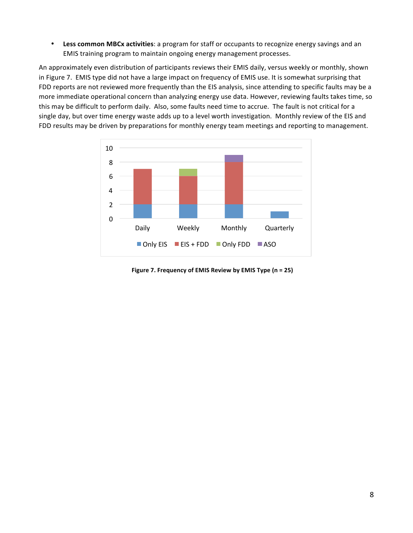• Less common MBCx activities: a program for staff or occupants to recognize energy savings and an EMIS training program to maintain ongoing energy management processes.

An approximately even distribution of participants reviews their EMIS daily, versus weekly or monthly, shown in Figure 7. EMIS type did not have a large impact on frequency of EMIS use. It is somewhat surprising that FDD reports are not reviewed more frequently than the EIS analysis, since attending to specific faults may be a more immediate operational concern than analyzing energy use data. However, reviewing faults takes time, so this may be difficult to perform daily. Also, some faults need time to accrue. The fault is not critical for a single day, but over time energy waste adds up to a level worth investigation. Monthly review of the EIS and FDD results may be driven by preparations for monthly energy team meetings and reporting to management.



**Figure 7. Frequency of EMIS Review by EMIS Type (n = 25)**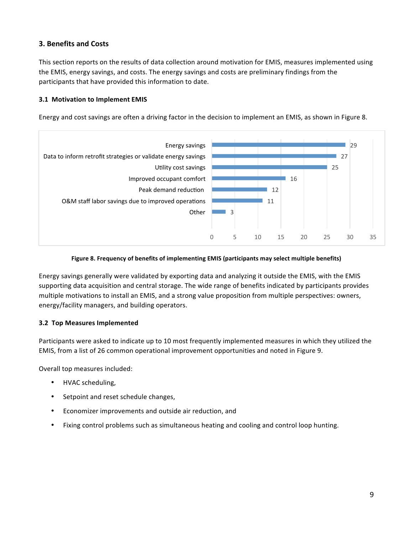# **3. Benefits and Costs**

This section reports on the results of data collection around motivation for EMIS, measures implemented using the EMIS, energy savings, and costs. The energy savings and costs are preliminary findings from the participants that have provided this information to date.

## **3.1 Motivation to Implement EMIS**

Energy and cost savings are often a driving factor in the decision to implement an EMIS, as shown in Figure 8.



#### Figure 8. Frequency of benefits of implementing EMIS (participants may select multiple benefits)

Energy savings generally were validated by exporting data and analyzing it outside the EMIS, with the EMIS supporting data acquisition and central storage. The wide range of benefits indicated by participants provides multiple motivations to install an EMIS, and a strong value proposition from multiple perspectives: owners, energy/facility managers, and building operators.

#### **3.2 Top Measures Implemented**

Participants were asked to indicate up to 10 most frequently implemented measures in which they utilized the EMIS, from a list of 26 common operational improvement opportunities and noted in Figure 9.

Overall top measures included:

- HVAC scheduling,
- Setpoint and reset schedule changes,
- Economizer improvements and outside air reduction, and
- Fixing control problems such as simultaneous heating and cooling and control loop hunting.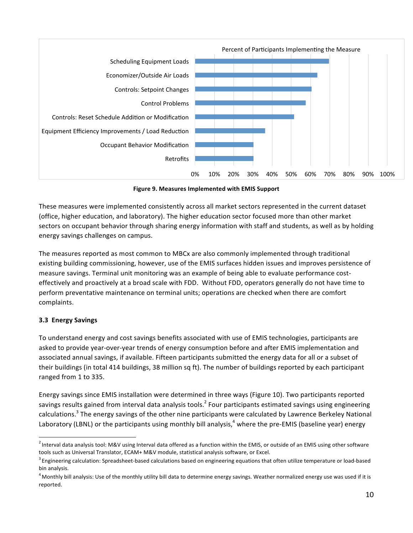

**Figure 9. Measures Implemented with EMIS Support** 

These measures were implemented consistently across all market sectors represented in the current dataset (office, higher education, and laboratory). The higher education sector focused more than other market sectors on occupant behavior through sharing energy information with staff and students, as well as by holding energy savings challenges on campus.

The measures reported as most common to MBCx are also commonly implemented through traditional existing building commissioning, however, use of the EMIS surfaces hidden issues and improves persistence of measure savings. Terminal unit monitoring was an example of being able to evaluate performance costeffectively and proactively at a broad scale with FDD. Without FDD, operators generally do not have time to perform preventative maintenance on terminal units; operations are checked when there are comfort complaints.

## **3.3 Energy Savings**

To understand energy and cost savings benefits associated with use of EMIS technologies, participants are asked to provide year-over-year trends of energy consumption before and after EMIS implementation and associated annual savings, if available. Fifteen participants submitted the energy data for all or a subset of their buildings (in total 414 buildings, 38 million sq ft). The number of buildings reported by each participant ranged from 1 to 335.

Energy savings since EMIS installation were determined in three ways (Figure 10). Two participants reported savings results gained from interval data analysis tools.<sup>2</sup> Four participants estimated savings using engineering calculations.<sup>3</sup> The energy savings of the other nine participants were calculated by Lawrence Berkeley National Laboratory (LBNL) or the participants using monthly bill analysis,<sup>4</sup> where the pre-EMIS (baseline year) energy

 $^2$ Interval data analysis tool: M&V using Interval data offered as a function within the EMIS, or outside of an EMIS using other software tools such as Universal Translator, ECAM+ M&V module, statistical analysis software, or Excel.

 $^3$  Engineering calculation: Spreadsheet-based calculations based on engineering equations that often utilize temperature or load-based bin analysis.

 $^4$  Monthly bill analysis: Use of the monthly utility bill data to determine energy savings. Weather normalized energy use was used if it is reported.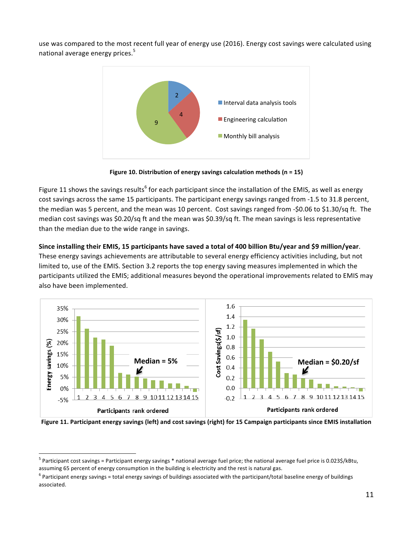use was compared to the most recent full year of energy use (2016). Energy cost savings were calculated using national average energy prices.<sup>5</sup>



**Figure 10. Distribution of energy savings calculation methods (n = 15)** 

Figure 11 shows the savings results<sup>6</sup> for each participant since the installation of the EMIS, as well as energy cost savings across the same 15 participants. The participant energy savings ranged from -1.5 to 31.8 percent, the median was 5 percent, and the mean was 10 percent. Cost savings ranged from -\$0.06 to \$1.30/sq ft. The median cost savings was \$0.20/sq ft and the mean was \$0.39/sq ft. The mean savings is less representative than the median due to the wide range in savings.

## Since installing their EMIS, 15 participants have saved a total of 400 billion Btu/year and \$9 million/year.

These energy savings achievements are attributable to several energy efficiency activities including, but not limited to, use of the EMIS. Section 3.2 reports the top energy saving measures implemented in which the participants utilized the EMIS; additional measures beyond the operational improvements related to EMIS may also have been implemented.



Figure 11. Participant energy savings (left) and cost savings (right) for 15 Campaign participants since EMIS installation

 $5$  Participant cost savings = Participant energy savings  $*$  national average fuel price; the national average fuel price is 0.023\$/kBtu, assuming 65 percent of energy consumption in the building is electricity and the rest is natural gas.

 $^6$  Participant energy savings = total energy savings of buildings associated with the participant/total baseline energy of buildings associated.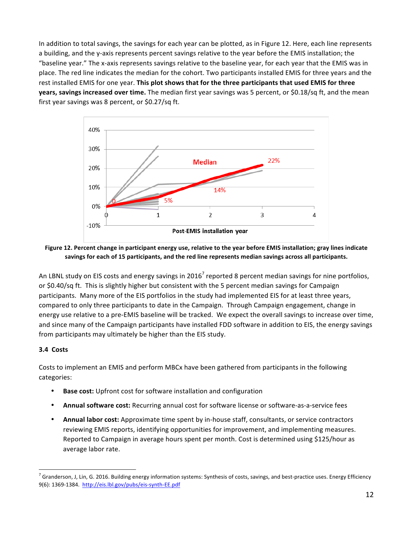In addition to total savings, the savings for each year can be plotted, as in Figure 12. Here, each line represents a building, and the y-axis represents percent savings relative to the year before the EMIS installation; the "baseline year." The x-axis represents savings relative to the baseline year, for each year that the EMIS was in place. The red line indicates the median for the cohort. Two participants installed EMIS for three years and the rest installed EMIS for one year. This plot shows that for the three participants that used EMIS for three **years, savings increased over time.** The median first year savings was 5 percent, or \$0.18/sq ft, and the mean first year savings was 8 percent, or  $$0.27/sq$  ft.



#### Figure 12. Percent change in participant energy use, relative to the year before EMIS installation; gray lines indicate savings for each of 15 participants, and the red line represents median savings across all participants.

An LBNL study on EIS costs and energy savings in 2016<sup>7</sup> reported 8 percent median savings for nine portfolios, or \$0.40/sq ft. This is slightly higher but consistent with the 5 percent median savings for Campaign participants. Many more of the EIS portfolios in the study had implemented EIS for at least three years, compared to only three participants to date in the Campaign. Through Campaign engagement, change in energy use relative to a pre-EMIS baseline will be tracked. We expect the overall savings to increase over time, and since many of the Campaign participants have installed FDD software in addition to EIS, the energy savings from participants may ultimately be higher than the EIS study.

#### **3.4 Costs**

Costs to implement an EMIS and perform MBCx have been gathered from participants in the following categories: 

- **Base cost:** Upfront cost for software installation and configuration
- Annual software cost: Recurring annual cost for software license or software-as-a-service fees
- Annual labor cost: Approximate time spent by in-house staff, consultants, or service contractors reviewing EMIS reports, identifying opportunities for improvement, and implementing measures. Reported to Campaign in average hours spent per month. Cost is determined using \$125/hour as average labor rate.

 $^7$  Granderson, J, Lin, G. 2016. Building energy information systems: Synthesis of costs, savings, and best-practice uses. Energy Efficiency 9(6): 1369-1384. http://eis.lbl.gov/pubs/eis-synth-EE.pdf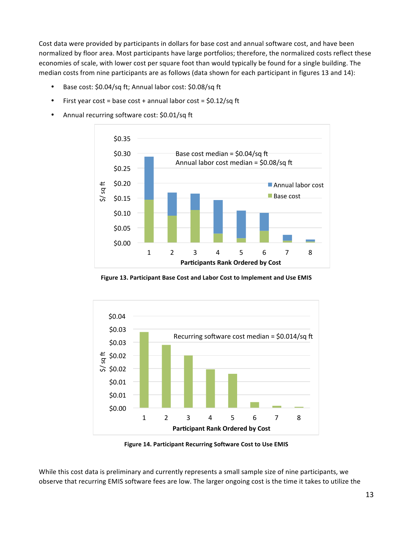Cost data were provided by participants in dollars for base cost and annual software cost, and have been normalized by floor area. Most participants have large portfolios; therefore, the normalized costs reflect these economies of scale, with lower cost per square foot than would typically be found for a single building. The median costs from nine participants are as follows (data shown for each participant in figures 13 and 14):

- Base cost: \$0.04/sq ft; Annual labor cost: \$0.08/sq ft
- First year cost = base cost + annual labor cost =  $$0.12/sq$  ft
- Annual recurring software cost: \$0.01/sq ft



Figure 13. Participant Base Cost and Labor Cost to Implement and Use EMIS



**Figure 14. Participant Recurring Software Cost to Use EMIS** 

While this cost data is preliminary and currently represents a small sample size of nine participants, we observe that recurring EMIS software fees are low. The larger ongoing cost is the time it takes to utilize the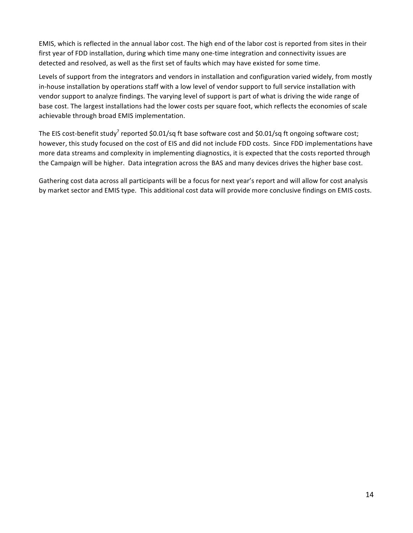EMIS, which is reflected in the annual labor cost. The high end of the labor cost is reported from sites in their first year of FDD installation, during which time many one-time integration and connectivity issues are detected and resolved, as well as the first set of faults which may have existed for some time.

Levels of support from the integrators and vendors in installation and configuration varied widely, from mostly in-house installation by operations staff with a low level of vendor support to full service installation with vendor support to analyze findings. The varying level of support is part of what is driving the wide range of base cost. The largest installations had the lower costs per square foot, which reflects the economies of scale achievable through broad EMIS implementation.

The EIS cost-benefit study<sup>7</sup> reported \$0.01/sq ft base software cost and \$0.01/sq ft ongoing software cost; however, this study focused on the cost of EIS and did not include FDD costs. Since FDD implementations have more data streams and complexity in implementing diagnostics, it is expected that the costs reported through the Campaign will be higher. Data integration across the BAS and many devices drives the higher base cost.

Gathering cost data across all participants will be a focus for next year's report and will allow for cost analysis by market sector and EMIS type. This additional cost data will provide more conclusive findings on EMIS costs.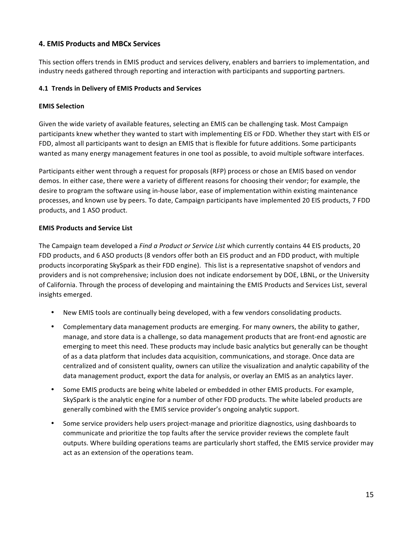# **4. EMIS Products and MBCx Services**

This section offers trends in EMIS product and services delivery, enablers and barriers to implementation, and industry needs gathered through reporting and interaction with participants and supporting partners.

## **4.1 Trends in Delivery of EMIS Products and Services**

## **EMIS Selection**

Given the wide variety of available features, selecting an EMIS can be challenging task. Most Campaign participants knew whether they wanted to start with implementing EIS or FDD. Whether they start with EIS or FDD, almost all participants want to design an EMIS that is flexible for future additions. Some participants wanted as many energy management features in one tool as possible, to avoid multiple software interfaces.

Participants either went through a request for proposals (RFP) process or chose an EMIS based on vendor demos. In either case, there were a variety of different reasons for choosing their vendor; for example, the desire to program the software using in-house labor, ease of implementation within existing maintenance processes, and known use by peers. To date, Campaign participants have implemented 20 EIS products, 7 FDD products, and 1 ASO product.

## **EMIS Products and Service List**

The Campaign team developed a *Find a Product or Service List* which currently contains 44 EIS products, 20 FDD products, and 6 ASO products (8 vendors offer both an EIS product and an FDD product, with multiple products incorporating SkySpark as their FDD engine). This list is a representative snapshot of vendors and providers and is not comprehensive; inclusion does not indicate endorsement by DOE, LBNL, or the University of California. Through the process of developing and maintaining the EMIS Products and Services List, several insights emerged.

- New EMIS tools are continually being developed, with a few vendors consolidating products.
- Complementary data management products are emerging. For many owners, the ability to gather, manage, and store data is a challenge, so data management products that are front-end agnostic are emerging to meet this need. These products may include basic analytics but generally can be thought of as a data platform that includes data acquisition, communications, and storage. Once data are centralized and of consistent quality, owners can utilize the visualization and analytic capability of the data management product, export the data for analysis, or overlay an EMIS as an analytics layer.
- Some EMIS products are being white labeled or embedded in other EMIS products. For example, SkySpark is the analytic engine for a number of other FDD products. The white labeled products are generally combined with the EMIS service provider's ongoing analytic support.
- Some service providers help users project-manage and prioritize diagnostics, using dashboards to communicate and prioritize the top faults after the service provider reviews the complete fault outputs. Where building operations teams are particularly short staffed, the EMIS service provider may act as an extension of the operations team.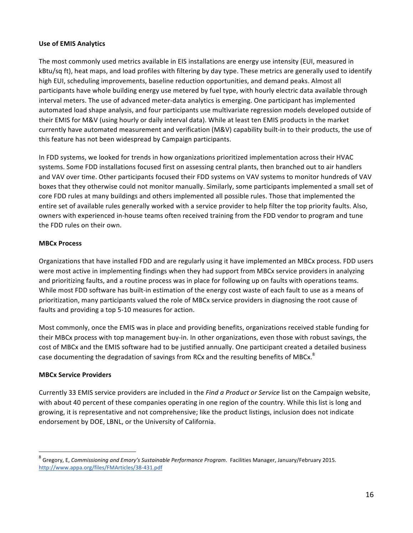#### **Use of EMIS Analytics**

The most commonly used metrics available in EIS installations are energy use intensity (EUI, measured in kBtu/sq ft), heat maps, and load profiles with filtering by day type. These metrics are generally used to identify high EUI, scheduling improvements, baseline reduction opportunities, and demand peaks. Almost all participants have whole building energy use metered by fuel type, with hourly electric data available through interval meters. The use of advanced meter-data analytics is emerging. One participant has implemented automated load shape analysis, and four participants use multivariate regression models developed outside of their EMIS for M&V (using hourly or daily interval data). While at least ten EMIS products in the market currently have automated measurement and verification (M&V) capability built-in to their products, the use of this feature has not been widespread by Campaign participants.

In FDD systems, we looked for trends in how organizations prioritized implementation across their HVAC systems. Some FDD installations focused first on assessing central plants, then branched out to air handlers and VAV over time. Other participants focused their FDD systems on VAV systems to monitor hundreds of VAV boxes that they otherwise could not monitor manually. Similarly, some participants implemented a small set of core FDD rules at many buildings and others implemented all possible rules. Those that implemented the entire set of available rules generally worked with a service provider to help filter the top priority faults. Also, owners with experienced in-house teams often received training from the FDD vendor to program and tune the FDD rules on their own.

## **MBCx Process**

Organizations that have installed FDD and are regularly using it have implemented an MBCx process. FDD users were most active in implementing findings when they had support from MBCx service providers in analyzing and prioritizing faults, and a routine process was in place for following up on faults with operations teams. While most FDD software has built-in estimation of the energy cost waste of each fault to use as a means of prioritization, many participants valued the role of MBCx service providers in diagnosing the root cause of faults and providing a top 5-10 measures for action.

Most commonly, once the EMIS was in place and providing benefits, organizations received stable funding for their MBCx process with top management buy-in. In other organizations, even those with robust savings, the cost of MBCx and the EMIS software had to be justified annually. One participant created a detailed business case documenting the degradation of savings from RCx and the resulting benefits of MBCx.<sup>8</sup>

#### **MBCx Service Providers**

Currently 33 EMIS service providers are included in the *Find a Product or Service* list on the Campaign website, with about 40 percent of these companies operating in one region of the country. While this list is long and growing, it is representative and not comprehensive; like the product listings, inclusion does not indicate endorsement by DOE, LBNL, or the University of California.

<sup>&</sup>lt;sup>8</sup> Gregory, E, Commissioning and Emory's Sustainable Performance Program. Facilities Manager, January/February 2015. http://www.appa.org/files/FMArticles/38-431.pdf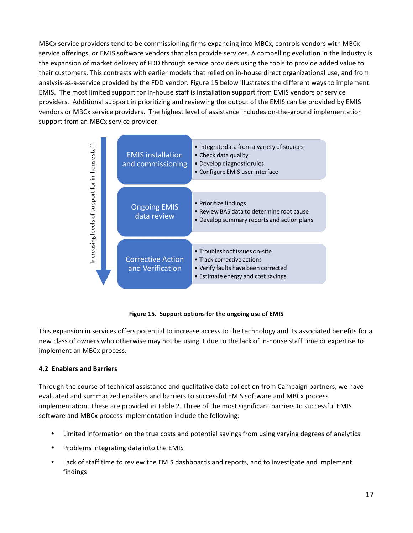MBCx service providers tend to be commissioning firms expanding into MBCx, controls vendors with MBCx service offerings, or EMIS software vendors that also provide services. A compelling evolution in the industry is the expansion of market delivery of FDD through service providers using the tools to provide added value to their customers. This contrasts with earlier models that relied on in-house direct organizational use, and from analysis-as-a-service provided by the FDD vendor. Figure 15 below illustrates the different ways to implement EMIS. The most limited support for in-house staff is installation support from EMIS vendors or service providers. Additional support in prioritizing and reviewing the output of the EMIS can be provided by EMIS vendors or MBCx service providers. The highest level of assistance includes on-the-ground implementation support from an MBCx service provider.



Figure 15. Support options for the ongoing use of EMIS

This expansion in services offers potential to increase access to the technology and its associated benefits for a new class of owners who otherwise may not be using it due to the lack of in-house staff time or expertise to implement an MBCx process.

# **4.2 Enablers and Barriers**

Through the course of technical assistance and qualitative data collection from Campaign partners, we have evaluated and summarized enablers and barriers to successful EMIS software and MBCx process implementation. These are provided in Table 2. Three of the most significant barriers to successful EMIS software and MBCx process implementation include the following:

- Limited information on the true costs and potential savings from using varying degrees of analytics
- Problems integrating data into the EMIS
- Lack of staff time to review the EMIS dashboards and reports, and to investigate and implement findings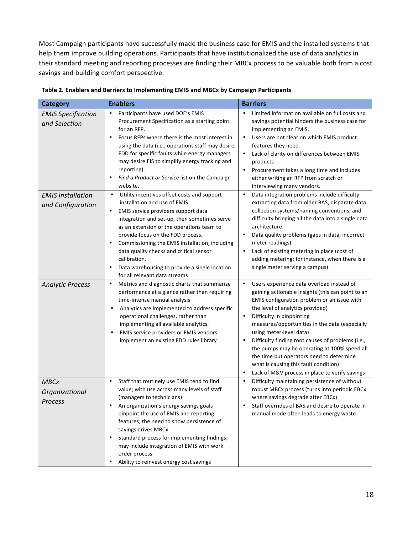Most Campaign participants have successfully made the business case for EMIS and the installed systems that help them improve building operations. Participants that have institutionalized the use of data analytics in their standard meeting and reporting processes are finding their MBCx process to be valuable both from a cost savings and building comfort perspective.

| <b>Category</b>                                                        | <b>Enablers</b>                                                                                                                                                                                                                                                                                                                                                                                                                                                                | <b>Barriers</b>                                                                                                                                                                                                                                                                                                                                                                                                                                                                                                                                                   |
|------------------------------------------------------------------------|--------------------------------------------------------------------------------------------------------------------------------------------------------------------------------------------------------------------------------------------------------------------------------------------------------------------------------------------------------------------------------------------------------------------------------------------------------------------------------|-------------------------------------------------------------------------------------------------------------------------------------------------------------------------------------------------------------------------------------------------------------------------------------------------------------------------------------------------------------------------------------------------------------------------------------------------------------------------------------------------------------------------------------------------------------------|
| <b>EMIS Specification</b><br>and Selection<br><b>EMIS Installation</b> | Participants have used DOE's EMIS<br>$\bullet$<br>Procurement Specification as a starting point<br>for an RFP.<br>Focus RFPs where there is the most interest in<br>$\bullet$<br>using the data (i.e., operations staff may desire<br>FDD for specific faults while energy managers<br>may desire EIS to simplify energy tracking and<br>reporting).<br>Find a Product or Service list on the Campaign<br>$\bullet$<br>website.<br>Utility incentives offset costs and support | Limited information available on full costs and<br>$\bullet$<br>savings potential hinders the business case for<br>implementing an EMIS.<br>Users are not clear on which EMIS product<br>$\bullet$<br>features they need.<br>Lack of clarity on differences between EMIS<br>$\bullet$<br>products<br>Procurement takes a long time and includes<br>$\bullet$<br>either writing an RFP from scratch or<br>interviewing many vendors.<br>$\bullet$<br>Data integration problems include difficulty                                                                  |
| and Configuration                                                      | installation and use of EMIS<br>EMIS service providers support data<br>$\bullet$<br>integration and set-up, then sometimes serve<br>as an extension of the operations team to<br>provide focus on the FDD process.<br>Commissioning the EMIS installation, including<br>$\bullet$<br>data quality checks and critical sensor<br>calibration.<br>Data warehousing to provide a single location<br>$\bullet$<br>for all relevant data streams                                    | extracting data from older BAS, disparate data<br>collection systems/naming conventions, and<br>difficulty bringing all the data into a single data<br>architecture.<br>Data quality problems (gaps in data, incorrect<br>$\bullet$<br>meter readings)<br>Lack of existing metering in place (cost of<br>$\bullet$<br>adding metering; for instance, when there is a<br>single meter serving a campus).                                                                                                                                                           |
| <b>Analytic Process</b>                                                | Metrics and diagnostic charts that summarize<br>$\bullet$<br>performance at a glance rather than requiring<br>time-intense manual analysis<br>Analytics are implemented to address specific<br>$\bullet$<br>operational challenges, rather than<br>implementing all available analytics.<br>EMIS service providers or EMIS vendors<br>$\bullet$<br>implement an existing FDD rules library                                                                                     | $\bullet$<br>Users experience data overload instead of<br>gaining actionable insights (this can point to an<br>EMIS configuration problem or an issue with<br>the level of analytics provided)<br>Difficulty in pinpointing<br>$\bullet$<br>measures/opportunities in the data (especially<br>using meter-level data)<br>Difficulty finding root causes of problems (i.e.,<br>the pumps may be operating at 100% speed all<br>the time but operators need to determine<br>what is causing this fault condition)<br>Lack of M&V process in place to verify savings |
| <b>MBCx</b><br>Organizational<br>Process                               | Staff that routinely use EMIS tend to find<br>$\bullet$<br>value; with use across many levels of staff<br>(managers to technicians)<br>An organization's energy savings goals<br>pinpoint the use of EMIS and reporting<br>features; the need to show persistence of<br>savings drives MBCx.<br>Standard process for implementing findings;<br>may include integration of EMIS with work<br>order process<br>Ability to reinvest energy cost savings                           | Difficulty maintaining persistence of without<br>$\bullet$<br>robust MBCx process (turns into periodic EBCx<br>where savings degrade after EBCx)<br>Staff overrides of BAS and desire to operate in<br>manual mode often leads to energy waste.                                                                                                                                                                                                                                                                                                                   |

| Table 2. Enablers and Barriers to Implementing EMIS and MBCx by Campaign Participants |
|---------------------------------------------------------------------------------------|
|---------------------------------------------------------------------------------------|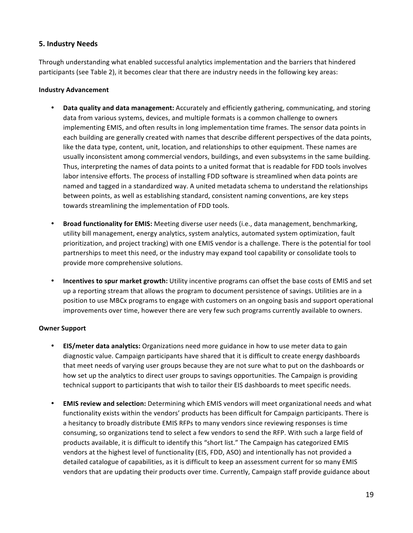## **5. Industry Needs**

Through understanding what enabled successful analytics implementation and the barriers that hindered participants (see Table 2), it becomes clear that there are industry needs in the following key areas:

#### **Industry Advancement**

- Data quality and data management: Accurately and efficiently gathering, communicating, and storing data from various systems, devices, and multiple formats is a common challenge to owners implementing EMIS, and often results in long implementation time frames. The sensor data points in each building are generally created with names that describe different perspectives of the data points, like the data type, content, unit, location, and relationships to other equipment. These names are usually inconsistent among commercial vendors, buildings, and even subsystems in the same building. Thus, interpreting the names of data points to a united format that is readable for FDD tools involves labor intensive efforts. The process of installing FDD software is streamlined when data points are named and tagged in a standardized way. A united metadata schema to understand the relationships between points, as well as establishing standard, consistent naming conventions, are key steps towards streamlining the implementation of FDD tools.
- Broad functionality for EMIS: Meeting diverse user needs (i.e., data management, benchmarking, utility bill management, energy analytics, system analytics, automated system optimization, fault prioritization, and project tracking) with one EMIS vendor is a challenge. There is the potential for tool partnerships to meet this need, or the industry may expand tool capability or consolidate tools to provide more comprehensive solutions.
- **Incentives to spur market growth:** Utility incentive programs can offset the base costs of EMIS and set up a reporting stream that allows the program to document persistence of savings. Utilities are in a position to use MBCx programs to engage with customers on an ongoing basis and support operational improvements over time, however there are very few such programs currently available to owners.

#### **Owner Support**

- **EIS/meter data analytics:** Organizations need more guidance in how to use meter data to gain diagnostic value. Campaign participants have shared that it is difficult to create energy dashboards that meet needs of varying user groups because they are not sure what to put on the dashboards or how set up the analytics to direct user groups to savings opportunities. The Campaign is providing technical support to participants that wish to tailor their EIS dashboards to meet specific needs.
- **EMIS review and selection:** Determining which EMIS vendors will meet organizational needs and what functionality exists within the vendors' products has been difficult for Campaign participants. There is a hesitancy to broadly distribute EMIS RFPs to many vendors since reviewing responses is time consuming, so organizations tend to select a few vendors to send the RFP. With such a large field of products available, it is difficult to identify this "short list." The Campaign has categorized EMIS vendors at the highest level of functionality (EIS, FDD, ASO) and intentionally has not provided a detailed catalogue of capabilities, as it is difficult to keep an assessment current for so many EMIS vendors that are updating their products over time. Currently, Campaign staff provide guidance about